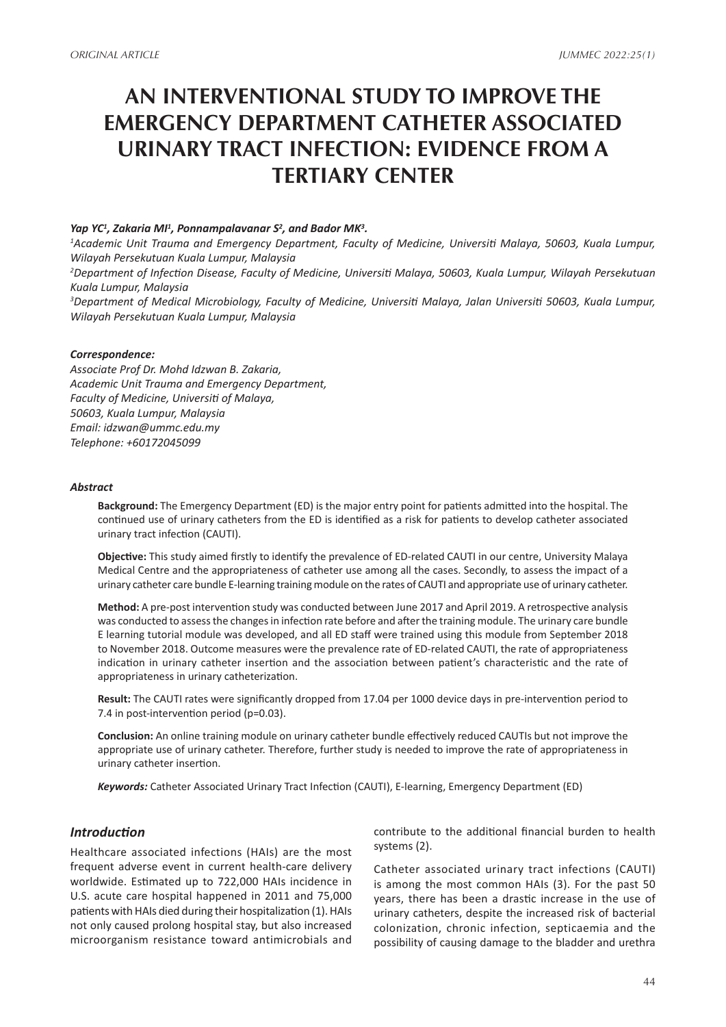# **AN INTERVENTIONAL STUDY TO IMPROVE THE EMERGENCY DEPARTMENT CATHETER ASSOCIATED URINARY TRACT INFECTION: EVIDENCE FROM A TERTIARY CENTER**

### Yap YC<sup>1</sup>, Zakaria MI<sup>1</sup>, Ponnampalavanar S<sup>2</sup>, and Bador MK<sup>3</sup>.

*1 Academic Unit Trauma and Emergency Department, Faculty of Medicine, Universiti Malaya, 50603, Kuala Lumpur, Wilayah Persekutuan Kuala Lumpur, Malaysia*

*2 Department of Infection Disease, Faculty of Medicine, Universiti Malaya, 50603, Kuala Lumpur, Wilayah Persekutuan Kuala Lumpur, Malaysia*

*3 Department of Medical Microbiology, Faculty of Medicine, Universiti Malaya, Jalan Universiti 50603, Kuala Lumpur, Wilayah Persekutuan Kuala Lumpur, Malaysia*

#### *Correspondence:*

*Associate Prof Dr. Mohd Idzwan B. Zakaria, Academic Unit Trauma and Emergency Department, Faculty of Medicine, Universiti of Malaya, 50603, Kuala Lumpur, Malaysia Email: idzwan@ummc.edu.my Telephone: +60172045099*

#### *Abstract*

**Background:** The Emergency Department (ED) is the major entry point for patients admitted into the hospital. The continued use of urinary catheters from the ED is identified as a risk for patients to develop catheter associated urinary tract infection (CAUTI).

**Objective:** This study aimed firstly to identify the prevalence of ED-related CAUTI in our centre, University Malaya Medical Centre and the appropriateness of catheter use among all the cases. Secondly, to assess the impact of a urinary catheter care bundle E-learning training module on the rates of CAUTI and appropriate use of urinary catheter.

**Method:** A pre-post intervention study was conducted between June 2017 and April 2019. A retrospective analysis was conducted to assess the changes in infection rate before and after the training module. The urinary care bundle E learning tutorial module was developed, and all ED staff were trained using this module from September 2018 to November 2018. Outcome measures were the prevalence rate of ED-related CAUTI, the rate of appropriateness indication in urinary catheter insertion and the association between patient's characteristic and the rate of appropriateness in urinary catheterization.

**Result:** The CAUTI rates were significantly dropped from 17.04 per 1000 device days in pre-intervention period to 7.4 in post-intervention period (p=0.03).

**Conclusion:** An online training module on urinary catheter bundle effectively reduced CAUTIs but not improve the appropriate use of urinary catheter. Therefore, further study is needed to improve the rate of appropriateness in urinary catheter insertion.

*Keywords:* Catheter Associated Urinary Tract Infection (CAUTI), E-learning, Emergency Department (ED)

## *Introduction*

Healthcare associated infections (HAIs) are the most frequent adverse event in current health-care delivery worldwide. Estimated up to 722,000 HAIs incidence in U.S. acute care hospital happened in 2011 and 75,000 patients with HAIs died during their hospitalization (1). HAIs not only caused prolong hospital stay, but also increased microorganism resistance toward antimicrobials and contribute to the additional financial burden to health systems (2).

Catheter associated urinary tract infections (CAUTI) is among the most common HAIs (3). For the past 50 years, there has been a drastic increase in the use of urinary catheters, despite the increased risk of bacterial colonization, chronic infection, septicaemia and the possibility of causing damage to the bladder and urethra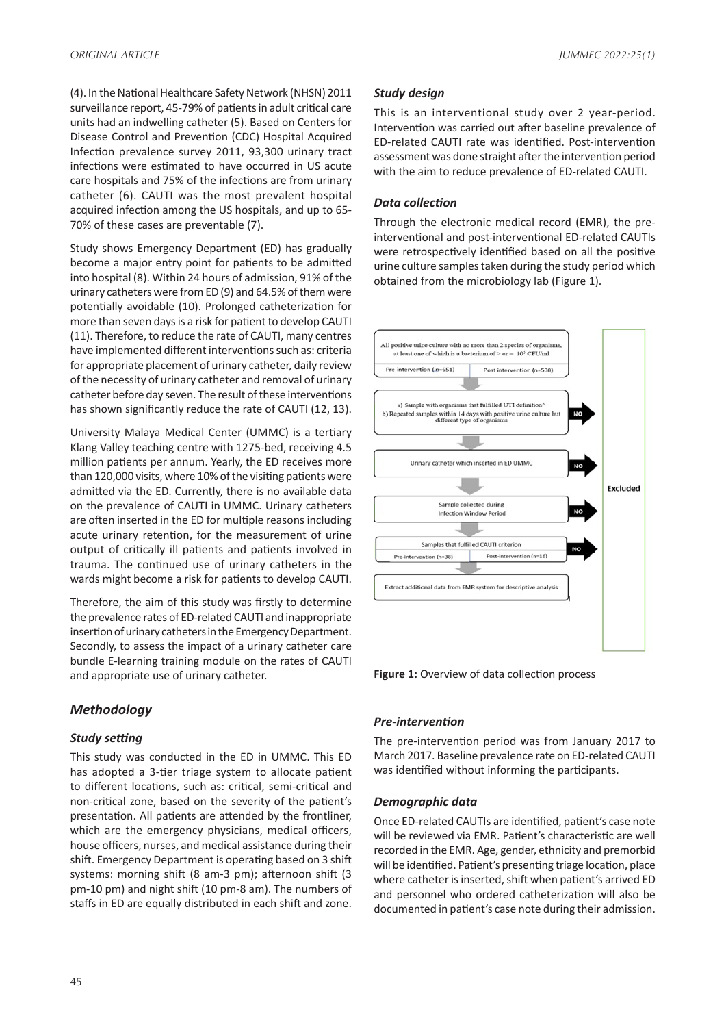(4). In the National Healthcare Safety Network (NHSN) 2011 surveillance report, 45-79% of patients in adult critical care units had an indwelling catheter (5). Based on Centers for Disease Control and Prevention (CDC) Hospital Acquired Infection prevalence survey 2011, 93,300 urinary tract infections were estimated to have occurred in US acute care hospitals and 75% of the infections are from urinary catheter (6). CAUTI was the most prevalent hospital acquired infection among the US hospitals, and up to 65- 70% of these cases are preventable (7).

Study shows Emergency Department (ED) has gradually become a major entry point for patients to be admitted into hospital (8). Within 24 hours of admission, 91% of the urinary catheters were from ED (9) and 64.5% of them were potentially avoidable (10). Prolonged catheterization for more than seven days is a risk for patient to develop CAUTI (11). Therefore, to reduce the rate of CAUTI, many centres have implemented different interventions such as: criteria for appropriate placement of urinary catheter, daily review of the necessity of urinary catheter and removal of urinary catheter before day seven. The result of these interventions has shown significantly reduce the rate of CAUTI (12, 13).

University Malaya Medical Center (UMMC) is a tertiary Klang Valley teaching centre with 1275-bed, receiving 4.5 million patients per annum. Yearly, the ED receives more than 120,000 visits, where 10% of the visiting patients were admitted via the ED. Currently, there is no available data on the prevalence of CAUTI in UMMC. Urinary catheters are often inserted in the ED for multiple reasons including acute urinary retention, for the measurement of urine output of critically ill patients and patients involved in trauma. The continued use of urinary catheters in the wards might become a risk for patients to develop CAUTI.

Therefore, the aim of this study was firstly to determine the prevalence rates of ED-related CAUTI and inappropriate insertion of urinary catheters in the Emergency Department. Secondly, to assess the impact of a urinary catheter care bundle E-learning training module on the rates of CAUTI and appropriate use of urinary catheter.

## *Methodology*

## *Study setting*

This study was conducted in the ED in UMMC. This ED has adopted a 3-tier triage system to allocate patient to different locations, such as: critical, semi-critical and non-critical zone, based on the severity of the patient's presentation. All patients are attended by the frontliner, which are the emergency physicians, medical officers, house officers, nurses, and medical assistance during their shift. Emergency Department is operating based on 3 shift systems: morning shift (8 am-3 pm); afternoon shift (3 pm-10 pm) and night shift (10 pm-8 am). The numbers of staffs in ED are equally distributed in each shift and zone.

### *Study design*

This is an interventional study over 2 year-period. Intervention was carried out after baseline prevalence of ED-related CAUTI rate was identified. Post-intervention assessment was done straight after the intervention period with the aim to reduce prevalence of ED-related CAUTI.

#### *Data collection*

Through the electronic medical record (EMR), the preinterventional and post-interventional ED-related CAUTIs were retrospectively identified based on all the positive urine culture samples taken during the study period which obtained from the microbiology lab (Figure 1).



**Figure 1:** Overview of data collection process

#### *Pre-intervention*

The pre-intervention period was from January 2017 to March 2017. Baseline prevalence rate on ED-related CAUTI was identified without informing the participants.

#### *Demographic data*

Once ED-related CAUTIs are identified, patient's case note will be reviewed via EMR. Patient's characteristic are well recorded in the EMR. Age, gender, ethnicity and premorbid will be identified. Patient's presenting triage location, place where catheter is inserted, shift when patient's arrived ED and personnel who ordered catheterization will also be documented in patient's case note during their admission.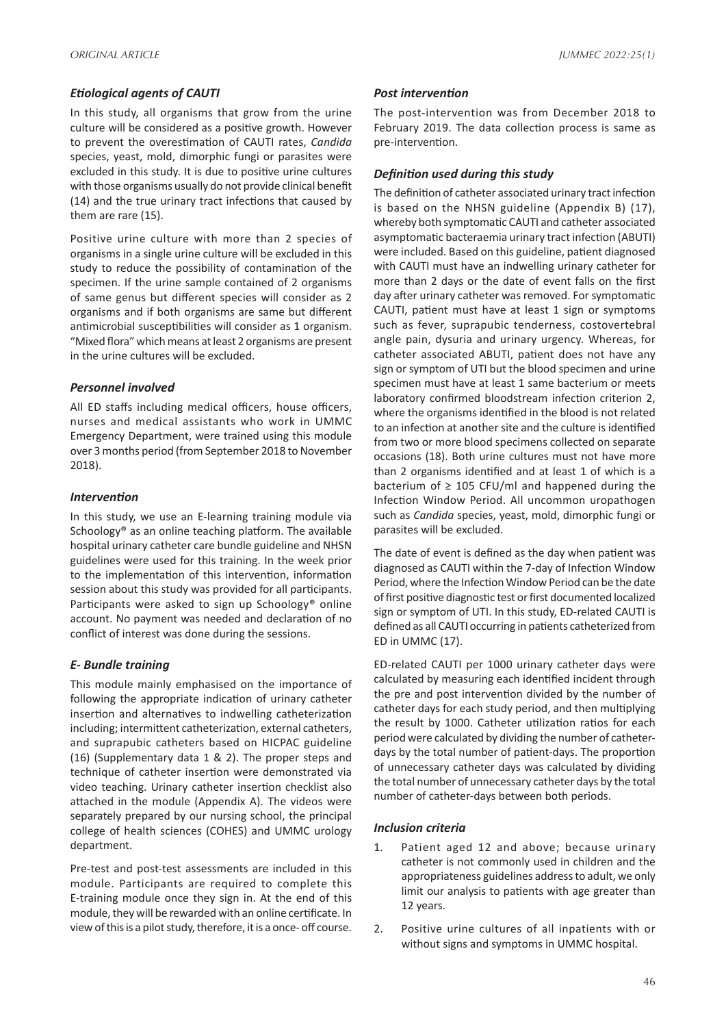## *Etiological agents of CAUTI*

In this study, all organisms that grow from the urine culture will be considered as a positive growth. However to prevent the overestimation of CAUTI rates, *Candida* species, yeast, mold, dimorphic fungi or parasites were excluded in this study. It is due to positive urine cultures with those organisms usually do not provide clinical benefit (14) and the true urinary tract infections that caused by them are rare (15).

Positive urine culture with more than 2 species of organisms in a single urine culture will be excluded in this study to reduce the possibility of contamination of the specimen. If the urine sample contained of 2 organisms of same genus but different species will consider as 2 organisms and if both organisms are same but different antimicrobial susceptibilities will consider as 1 organism. "Mixed flora" which means at least 2 organisms are present in the urine cultures will be excluded.

## *Personnel involved*

All ED staffs including medical officers, house officers, nurses and medical assistants who work in UMMC Emergency Department, were trained using this module over 3 months period (from September 2018 to November 2018).

## *Intervention*

In this study, we use an E-learning training module via Schoology® as an online teaching platform. The available hospital urinary catheter care bundle guideline and NHSN guidelines were used for this training. In the week prior to the implementation of this intervention, information session about this study was provided for all participants. Participants were asked to sign up Schoology® online account. No payment was needed and declaration of no conflict of interest was done during the sessions.

## *E- Bundle training*

This module mainly emphasised on the importance of following the appropriate indication of urinary catheter insertion and alternatives to indwelling catheterization including; intermittent catheterization, external catheters, and suprapubic catheters based on HICPAC guideline (16) (Supplementary data 1 & 2). The proper steps and technique of catheter insertion were demonstrated via video teaching. Urinary catheter insertion checklist also attached in the module (Appendix A). The videos were separately prepared by our nursing school, the principal college of health sciences (COHES) and UMMC urology department.

Pre-test and post-test assessments are included in this module. Participants are required to complete this E-training module once they sign in. At the end of this module, they will be rewarded with an online certificate. In view of this is a pilot study, therefore, it is a once- off course.

## *Post intervention*

The post-intervention was from December 2018 to February 2019. The data collection process is same as pre-intervention.

## *Definition used during this study*

The definition of catheter associated urinary tract infection is based on the NHSN guideline (Appendix B) (17), whereby both symptomatic CAUTI and catheter associated asymptomatic bacteraemia urinary tract infection (ABUTI) were included. Based on this guideline, patient diagnosed with CAUTI must have an indwelling urinary catheter for more than 2 days or the date of event falls on the first day after urinary catheter was removed. For symptomatic CAUTI, patient must have at least 1 sign or symptoms such as fever, suprapubic tenderness, costovertebral angle pain, dysuria and urinary urgency. Whereas, for catheter associated ABUTI, patient does not have any sign or symptom of UTI but the blood specimen and urine specimen must have at least 1 same bacterium or meets laboratory confirmed bloodstream infection criterion 2, where the organisms identified in the blood is not related to an infection at another site and the culture is identified from two or more blood specimens collected on separate occasions (18). Both urine cultures must not have more than 2 organisms identified and at least 1 of which is a bacterium of  $\geq 105$  CFU/ml and happened during the Infection Window Period. All uncommon uropathogen such as *Candida* species, yeast, mold, dimorphic fungi or parasites will be excluded.

The date of event is defined as the day when patient was diagnosed as CAUTI within the 7-day of Infection Window Period, where the Infection Window Period can be the date of first positive diagnostic test or first documented localized sign or symptom of UTI. In this study, ED-related CAUTI is defined as all CAUTI occurring in patients catheterized from ED in UMMC (17).

ED-related CAUTI per 1000 urinary catheter days were calculated by measuring each identified incident through the pre and post intervention divided by the number of catheter days for each study period, and then multiplying the result by 1000. Catheter utilization ratios for each period were calculated by dividing the number of catheterdays by the total number of patient-days. The proportion of unnecessary catheter days was calculated by dividing the total number of unnecessary catheter days by the total number of catheter-days between both periods.

## *Inclusion criteria*

- 1. Patient aged 12 and above; because urinary catheter is not commonly used in children and the appropriateness guidelines address to adult, we only limit our analysis to patients with age greater than 12 years.
- 2. Positive urine cultures of all inpatients with or without signs and symptoms in UMMC hospital.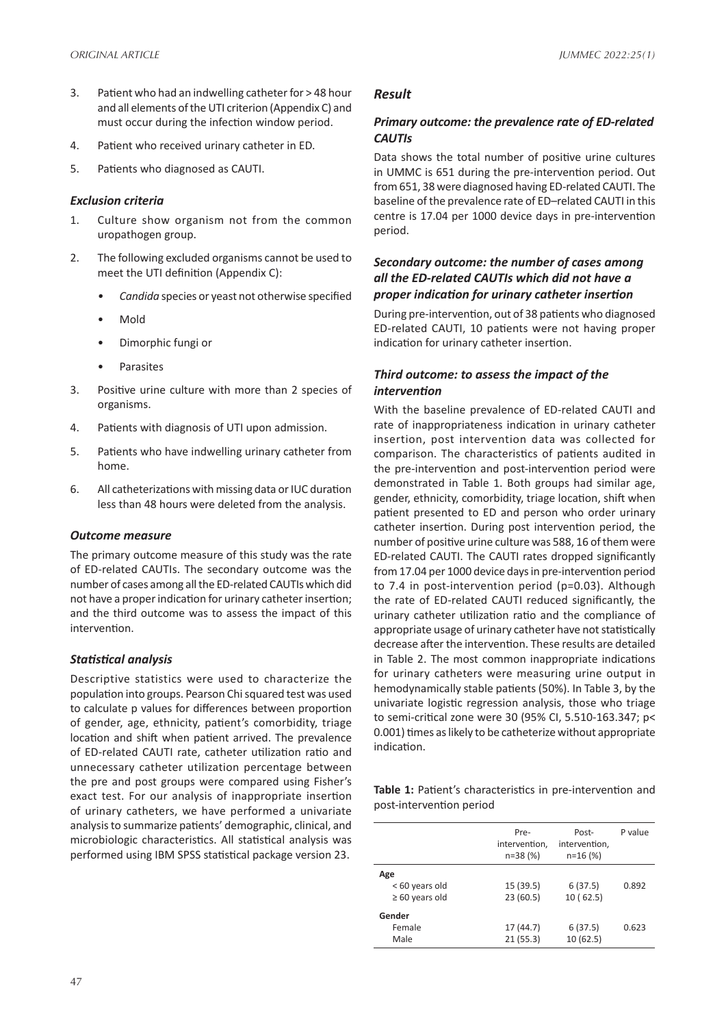- 3. Patient who had an indwelling catheter for > 48 hour and all elements of the UTI criterion (Appendix C) and must occur during the infection window period.
- 4. Patient who received urinary catheter in ED.
- 5. Patients who diagnosed as CAUTI.

### *Exclusion criteria*

- 1. Culture show organism not from the common uropathogen group.
- 2. The following excluded organisms cannot be used to meet the UTI definition (Appendix C):
	- *• Candida* species or yeast not otherwise specified
	- Mold
	- Dimorphic fungi or
	- **Parasites**
- 3. Positive urine culture with more than 2 species of organisms.
- 4. Patients with diagnosis of UTI upon admission.
- 5. Patients who have indwelling urinary catheter from home.
- 6. All catheterizations with missing data or IUC duration less than 48 hours were deleted from the analysis.

#### *Outcome measure*

The primary outcome measure of this study was the rate of ED-related CAUTIs. The secondary outcome was the number of cases among all the ED-related CAUTIs which did not have a proper indication for urinary catheter insertion; and the third outcome was to assess the impact of this intervention.

## *Statistical analysis*

Descriptive statistics were used to characterize the population into groups. Pearson Chi squared test was used to calculate p values for differences between proportion of gender, age, ethnicity, patient's comorbidity, triage location and shift when patient arrived. The prevalence of ED-related CAUTI rate, catheter utilization ratio and unnecessary catheter utilization percentage between the pre and post groups were compared using Fisher's exact test. For our analysis of inappropriate insertion of urinary catheters, we have performed a univariate analysis to summarize patients' demographic, clinical, and microbiologic characteristics. All statistical analysis was performed using IBM SPSS statistical package version 23.

## *Result*

## *Primary outcome: the prevalence rate of ED-related CAUTIs*

Data shows the total number of positive urine cultures in UMMC is 651 during the pre-intervention period. Out from 651, 38 were diagnosed having ED-related CAUTI. The baseline of the prevalence rate of ED–related CAUTI in this centre is 17.04 per 1000 device days in pre-intervention period.

## *Secondary outcome: the number of cases among all the ED-related CAUTIs which did not have a proper indication for urinary catheter insertion*

During pre-intervention, out of 38 patients who diagnosed ED-related CAUTI, 10 patients were not having proper indication for urinary catheter insertion.

## *Third outcome: to assess the impact of the intervention*

With the baseline prevalence of ED-related CAUTI and rate of inappropriateness indication in urinary catheter insertion, post intervention data was collected for comparison. The characteristics of patients audited in the pre-intervention and post-intervention period were demonstrated in Table 1. Both groups had similar age, gender, ethnicity, comorbidity, triage location, shift when patient presented to ED and person who order urinary catheter insertion. During post intervention period, the number of positive urine culture was 588, 16 of them were ED-related CAUTI. The CAUTI rates dropped significantly from 17.04 per 1000 device days in pre-intervention period to 7.4 in post-intervention period (p=0.03). Although the rate of ED-related CAUTI reduced significantly, the urinary catheter utilization ratio and the compliance of appropriate usage of urinary catheter have not statistically decrease after the intervention. These results are detailed in Table 2. The most common inappropriate indications for urinary catheters were measuring urine output in hemodynamically stable patients (50%). In Table 3, by the univariate logistic regression analysis, those who triage to semi-critical zone were 30 (95% CI, 5.510-163.347; p< 0.001) times as likely to be catheterize without appropriate indication.

**Table 1:** Patient's characteristics in pre-intervention and post-intervention period

|                     | Pre-<br>intervention,<br>$n=38(%)$ | Post-<br>intervention,<br>$n=16(%)$ | P value |
|---------------------|------------------------------------|-------------------------------------|---------|
| Age                 |                                    |                                     |         |
| < 60 years old      | 15 (39.5)                          | 6(37.5)                             | 0.892   |
| $\geq 60$ years old | 23(60.5)                           | 10(62.5)                            |         |
| Gender              |                                    |                                     |         |
| Female              | 17 (44.7)                          | 6(37.5)                             | 0.623   |
| Male                | 21(55.3)                           | 10(62.5)                            |         |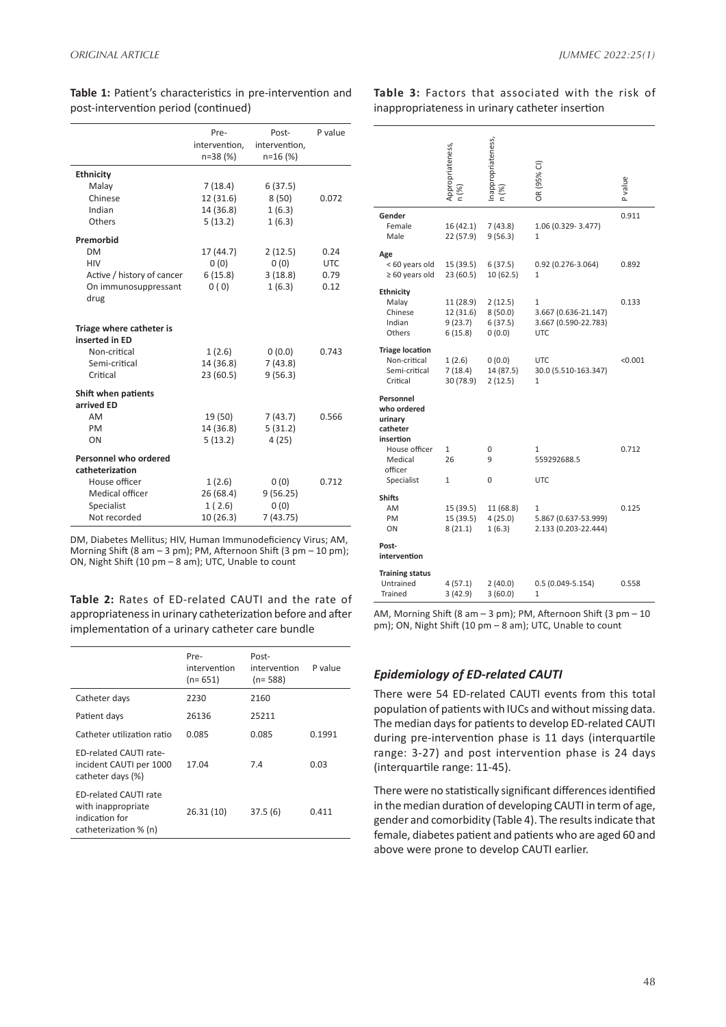| P value<br>Pre-<br>Post-<br>intervention.<br>intervention.<br>n=38 (%)<br>$n=16(%)$<br><b>Ethnicity</b><br>7(18.4)<br>6(37.5)<br>Malay<br>Chinese<br>12 (31.6)<br>8(50)<br>0.072<br>Indian<br>14 (36.8)<br>1(6.3)<br>Others<br>5(13.2)<br>1(6.3)<br>Premorbid<br><b>DM</b><br>17 (44.7)<br>2(12.5)<br>0.24<br>0(0)<br>HIV<br>0(0)<br><b>UTC</b><br>6(15.8)<br>3(18.8)<br>Active / history of cancer<br>0.79<br>0(0)<br>1(6.3)<br>0.12<br>On immunosuppressant<br>drug<br>Triage where catheter is<br>inserted in ED<br>Non-critical<br>1(2.6)<br>0(0.0)<br>0.743<br>Semi-critical<br>14 (36.8)<br>7(43.8)<br>9(56.3)<br>Critical<br>23 (60.5)<br>Shift when patients<br>arrived ED<br>AM<br>19 (50)<br>0.566<br>7(43.7)<br>14 (36.8)<br>5(31.2)<br>PM<br>4(25)<br>5(13.2)<br>ON<br>Personnel who ordered<br>catheterization<br>House officer<br>0(0)<br>0.712<br>1(2.6)<br>Medical officer<br>26 (68.4)<br>9(56.25)<br>Specialist<br>1(2.6)<br>0(0)<br>7(43.75)<br>Not recorded<br>10 (26.3) |  |  |
|----------------------------------------------------------------------------------------------------------------------------------------------------------------------------------------------------------------------------------------------------------------------------------------------------------------------------------------------------------------------------------------------------------------------------------------------------------------------------------------------------------------------------------------------------------------------------------------------------------------------------------------------------------------------------------------------------------------------------------------------------------------------------------------------------------------------------------------------------------------------------------------------------------------------------------------------------------------------------------------------|--|--|
|                                                                                                                                                                                                                                                                                                                                                                                                                                                                                                                                                                                                                                                                                                                                                                                                                                                                                                                                                                                              |  |  |
|                                                                                                                                                                                                                                                                                                                                                                                                                                                                                                                                                                                                                                                                                                                                                                                                                                                                                                                                                                                              |  |  |
|                                                                                                                                                                                                                                                                                                                                                                                                                                                                                                                                                                                                                                                                                                                                                                                                                                                                                                                                                                                              |  |  |
|                                                                                                                                                                                                                                                                                                                                                                                                                                                                                                                                                                                                                                                                                                                                                                                                                                                                                                                                                                                              |  |  |
|                                                                                                                                                                                                                                                                                                                                                                                                                                                                                                                                                                                                                                                                                                                                                                                                                                                                                                                                                                                              |  |  |
|                                                                                                                                                                                                                                                                                                                                                                                                                                                                                                                                                                                                                                                                                                                                                                                                                                                                                                                                                                                              |  |  |
|                                                                                                                                                                                                                                                                                                                                                                                                                                                                                                                                                                                                                                                                                                                                                                                                                                                                                                                                                                                              |  |  |
|                                                                                                                                                                                                                                                                                                                                                                                                                                                                                                                                                                                                                                                                                                                                                                                                                                                                                                                                                                                              |  |  |
|                                                                                                                                                                                                                                                                                                                                                                                                                                                                                                                                                                                                                                                                                                                                                                                                                                                                                                                                                                                              |  |  |
|                                                                                                                                                                                                                                                                                                                                                                                                                                                                                                                                                                                                                                                                                                                                                                                                                                                                                                                                                                                              |  |  |
|                                                                                                                                                                                                                                                                                                                                                                                                                                                                                                                                                                                                                                                                                                                                                                                                                                                                                                                                                                                              |  |  |
|                                                                                                                                                                                                                                                                                                                                                                                                                                                                                                                                                                                                                                                                                                                                                                                                                                                                                                                                                                                              |  |  |
|                                                                                                                                                                                                                                                                                                                                                                                                                                                                                                                                                                                                                                                                                                                                                                                                                                                                                                                                                                                              |  |  |
|                                                                                                                                                                                                                                                                                                                                                                                                                                                                                                                                                                                                                                                                                                                                                                                                                                                                                                                                                                                              |  |  |
|                                                                                                                                                                                                                                                                                                                                                                                                                                                                                                                                                                                                                                                                                                                                                                                                                                                                                                                                                                                              |  |  |
|                                                                                                                                                                                                                                                                                                                                                                                                                                                                                                                                                                                                                                                                                                                                                                                                                                                                                                                                                                                              |  |  |
|                                                                                                                                                                                                                                                                                                                                                                                                                                                                                                                                                                                                                                                                                                                                                                                                                                                                                                                                                                                              |  |  |
|                                                                                                                                                                                                                                                                                                                                                                                                                                                                                                                                                                                                                                                                                                                                                                                                                                                                                                                                                                                              |  |  |
|                                                                                                                                                                                                                                                                                                                                                                                                                                                                                                                                                                                                                                                                                                                                                                                                                                                                                                                                                                                              |  |  |
|                                                                                                                                                                                                                                                                                                                                                                                                                                                                                                                                                                                                                                                                                                                                                                                                                                                                                                                                                                                              |  |  |
|                                                                                                                                                                                                                                                                                                                                                                                                                                                                                                                                                                                                                                                                                                                                                                                                                                                                                                                                                                                              |  |  |
|                                                                                                                                                                                                                                                                                                                                                                                                                                                                                                                                                                                                                                                                                                                                                                                                                                                                                                                                                                                              |  |  |
|                                                                                                                                                                                                                                                                                                                                                                                                                                                                                                                                                                                                                                                                                                                                                                                                                                                                                                                                                                                              |  |  |

**Table 1:** Patient's characteristics in pre-intervention and post-intervention period (continued)

### **Table 3:** Factors that associated with the risk of inappropriateness in urinary catheter insertion

|                                                              | Appropriateness,<br>n (%) | nappropriateness,<br>n (%) | OR (95% CI)                                  | P value |
|--------------------------------------------------------------|---------------------------|----------------------------|----------------------------------------------|---------|
| Gender                                                       |                           |                            |                                              | 0.911   |
| Female                                                       | 16(42.1)                  | 7(43.8)                    | 1.06 (0.329-3.477)                           |         |
| Male                                                         | 22 (57.9)                 | 9(56.3)                    | 1                                            |         |
| Age                                                          |                           |                            |                                              |         |
| <60 years old                                                | 15 (39.5)                 | 6(37.5)                    | 0.92 (0.276-3.064)                           | 0.892   |
| $\geq 60$ years old                                          | 23 (60.5)                 | 10 (62.5)                  | $\mathbf{1}$                                 |         |
| <b>Ethnicity</b>                                             |                           |                            |                                              |         |
| Malay                                                        | 11 (28.9)                 | 2(12.5)                    | 1                                            | 0.133   |
| Chinese<br>Indian                                            | 12 (31.6)<br>9(23.7)      | 8(50.0)<br>6(37.5)         | 3.667 (0.636-21.147)<br>3.667 (0.590-22.783) |         |
| Others                                                       | 6(15.8)                   | 0(0.0)                     | <b>UTC</b>                                   |         |
|                                                              |                           |                            |                                              |         |
| <b>Triage location</b><br>Non-critical                       | 1(2.6)                    | 0(0.0)                     | <b>UTC</b>                                   | < 0.001 |
| Semi-critical                                                | 7(18.4)                   | 14 (87.5)                  | 30.0 (5.510-163.347)                         |         |
| Critical                                                     | 30 (78.9)                 | 2(12.5)                    | 1                                            |         |
| Personnel<br>who ordered<br>urinary<br>catheter<br>insertion |                           |                            |                                              |         |
| House officer                                                | $\mathbf{1}$              | 0                          | $\mathbf{1}$                                 | 0.712   |
| Medical                                                      | 26                        | 9                          | 559292688.5                                  |         |
| officer<br>Specialist                                        | 1                         | 0                          | <b>UTC</b>                                   |         |
| <b>Shifts</b>                                                |                           |                            |                                              |         |
| AM                                                           | 15 (39.5)                 | 11 (68.8)                  | 1                                            | 0.125   |
| PM                                                           | 15 (39.5)                 | 4(25.0)                    | 5.867 (0.637-53.999)                         |         |
| ON                                                           | 8(21.1)                   | 1(6.3)                     | 2.133 (0.203-22.444)                         |         |
| Post-<br>intervention                                        |                           |                            |                                              |         |
| <b>Training status</b><br>Untrained<br>Trained               | 4 (57.1)<br>3(42.9)       | 2(40.0)<br>3(60.0)         | $0.5(0.049-5.154)$<br>1                      | 0.558   |

**Table 2:** Rates of ED-related CAUTI and the rate of appropriateness in urinary catheterization before and after implementation of a urinary catheter care bundle AM, Morning Shift (8 am – 3 pm); PM, Afternoon Shift (3 pm – 10 pm); ON, Night Shift (10 pm – 8 am); UTC, Unable to count

|                                                                                               | Pre-<br>intervention<br>$(n=651)$ | Post-<br>intervention<br>$(n=588)$ | P value |
|-----------------------------------------------------------------------------------------------|-----------------------------------|------------------------------------|---------|
| Catheter days                                                                                 | 2230                              | 2160                               |         |
| Patient days                                                                                  | 26136                             | 25211                              |         |
| Catheter utilization ratio                                                                    | 0.085                             | 0.085                              | 0.1991  |
| <b>ED-related CAUTI rate-</b><br>incident CAUTI per 1000<br>catheter days (%)                 | 17.04                             | 7.4                                | 0.03    |
| <b>ED-related CAUTI rate</b><br>with inappropriate<br>indication for<br>catheterization % (n) | 26.31 (10)                        | 37.5(6)                            | 0.411   |

DM, Diabetes Mellitus; HIV, Human Immunodeficiency Virus; AM, Morning Shift (8 am – 3 pm); PM, Afternoon Shift (3 pm – 10 pm);

ON, Night Shift (10 pm – 8 am); UTC, Unable to count

## *Epidemiology of ED-related CAUTI*

There were 54 ED-related CAUTI events from this total population of patients with IUCs and without missing data. The median days for patients to develop ED-related CAUTI during pre-intervention phase is 11 days (interquartile range: 3-27) and post intervention phase is 24 days (interquartile range: 11-45).

There were no statistically significant differences identified in the median duration of developing CAUTI in term of age, gender and comorbidity (Table 4). The results indicate that female, diabetes patient and patients who are aged 60 and above were prone to develop CAUTI earlier.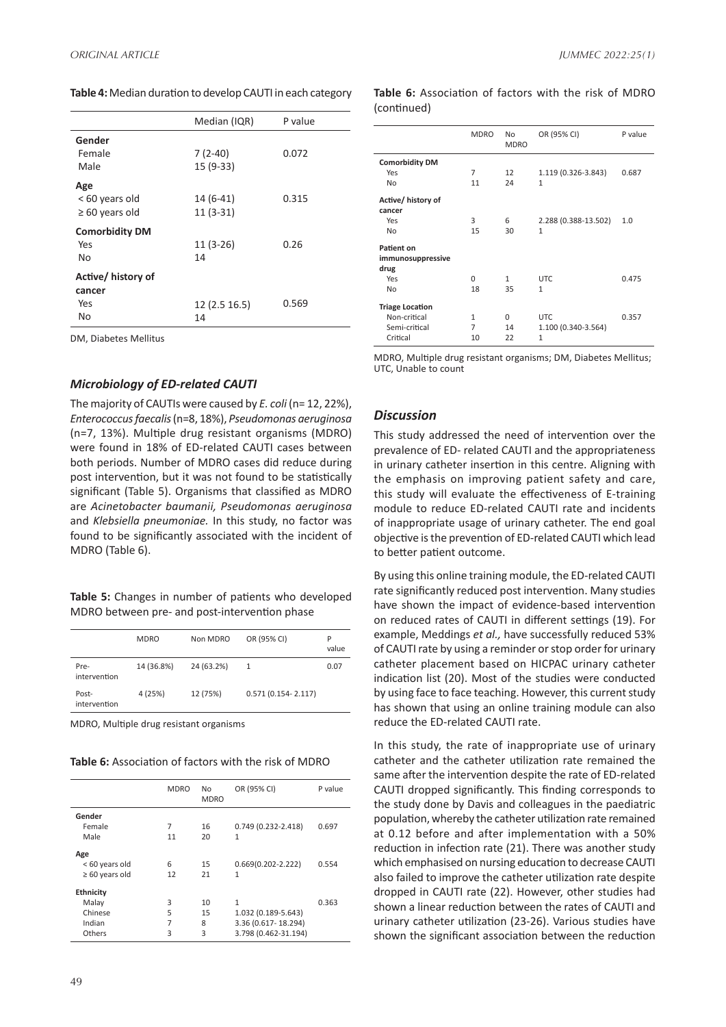**Table 4:** Median duration to develop CAUTI in each category

| Median (IQR)  | P value |
|---------------|---------|
|               |         |
| $7(2-40)$     | 0.072   |
| $15(9-33)$    |         |
|               |         |
| $14(6-41)$    | 0.315   |
| $11(3-31)$    |         |
|               |         |
| $11(3-26)$    | 0.26    |
| 14            |         |
|               |         |
|               |         |
| 12 (2.5 16.5) | 0.569   |
| 14            |         |
|               |         |

DM, Diabetes Mellitus

#### *Microbiology of ED-related CAUTI*

The majority of CAUTIs were caused by *E. coli* (n= 12, 22%), *Enterococcus faecalis* (n=8, 18%), *Pseudomonas aeruginosa*  (n=7, 13%). Multiple drug resistant organisms (MDRO) were found in 18% of ED-related CAUTI cases between both periods. Number of MDRO cases did reduce during post intervention, but it was not found to be statistically significant (Table 5). Organisms that classified as MDRO are *Acinetobacter baumanii, Pseudomonas aeruginosa* and *Klebsiella pneumoniae.* In this study, no factor was found to be significantly associated with the incident of MDRO (Table 6).

**Table 5:** Changes in number of patients who developed MDRO between pre- and post-intervention phase

|                       | <b>MDRO</b> | Non MDRO   | OR (95% CI)            | P<br>value |
|-----------------------|-------------|------------|------------------------|------------|
| Pre-<br>intervention  | 14 (36.8%)  | 24 (63.2%) | 1                      | 0.07       |
| Post-<br>intervention | 4 (25%)     | 12 (75%)   | $0.571(0.154 - 2.117)$ |            |

MDRO, Multiple drug resistant organisms

**Table 6:** Association of factors with the risk of MDRO

|                     | <b>MDRO</b> | No<br><b>MDRO</b> | OR (95% CI)            | P value |
|---------------------|-------------|-------------------|------------------------|---------|
| Gender<br>Female    | 7           | 16                | $0.749(0.232 - 2.418)$ | 0.697   |
| Male                | 11          | 20                | $\mathbf{1}$           |         |
| Age                 |             |                   |                        |         |
| < 60 years old      | 6           | 15                | $0.669(0.202 - 2.222)$ | 0.554   |
| $\geq 60$ years old | 12          | 21                | 1                      |         |
| Ethnicity           |             |                   |                        |         |
| Malay               | 3           | 10                | 1                      | 0.363   |
| Chinese             | 5           | 15                | 1.032 (0.189-5.643)    |         |
| Indian              | 7           | 8                 | 3.36 (0.617-18.294)    |         |
| Others              | 3           | 3                 | 3.798 (0.462-31.194)   |         |

#### **Table 6:** Association of factors with the risk of MDRO (continued)

|                        | <b>MDRO</b> | No<br><b>MDRO</b> | OR (95% CI)          | P value |
|------------------------|-------------|-------------------|----------------------|---------|
| <b>Comorbidity DM</b>  |             |                   |                      |         |
| Yes                    | 7           | 12                | 1.119 (0.326-3.843)  | 0.687   |
| No                     | 11          | 24                | $\mathbf{1}$         |         |
| Active/ history of     |             |                   |                      |         |
| cancer                 |             |                   |                      |         |
| Yes                    | 3           | 6                 | 2.288 (0.388-13.502) | 1.0     |
| No                     | 15          | 30                | $\mathbf{1}$         |         |
| Patient on             |             |                   |                      |         |
| immunosuppressive      |             |                   |                      |         |
| drug                   |             |                   |                      |         |
| Yes                    | 0           | 1                 | <b>UTC</b>           | 0.475   |
| No                     | 18          | 35                | 1                    |         |
| <b>Triage Location</b> |             |                   |                      |         |
| Non-critical           | 1           | $\Omega$          | <b>UTC</b>           | 0.357   |
| Semi-critical          | 7           | 14                | 1.100 (0.340-3.564)  |         |
| Critical               | 10          | 22                | 1                    |         |

MDRO, Multiple drug resistant organisms; DM, Diabetes Mellitus; UTC, Unable to count

#### *Discussion*

This study addressed the need of intervention over the prevalence of ED- related CAUTI and the appropriateness in urinary catheter insertion in this centre. Aligning with the emphasis on improving patient safety and care, this study will evaluate the effectiveness of E-training module to reduce ED-related CAUTI rate and incidents of inappropriate usage of urinary catheter. The end goal objective is the prevention of ED-related CAUTI which lead to better patient outcome.

By using this online training module, the ED-related CAUTI rate significantly reduced post intervention. Many studies have shown the impact of evidence-based intervention on reduced rates of CAUTI in different settings (19). For example, Meddings *et al.,* have successfully reduced 53% of CAUTI rate by using a reminder or stop order for urinary catheter placement based on HICPAC urinary catheter indication list (20). Most of the studies were conducted by using face to face teaching. However, this current study has shown that using an online training module can also reduce the ED-related CAUTI rate.

In this study, the rate of inappropriate use of urinary catheter and the catheter utilization rate remained the same after the intervention despite the rate of ED-related CAUTI dropped significantly. This finding corresponds to the study done by Davis and colleagues in the paediatric population, whereby the catheter utilization rate remained at 0.12 before and after implementation with a 50% reduction in infection rate (21). There was another study which emphasised on nursing education to decrease CAUTI also failed to improve the catheter utilization rate despite dropped in CAUTI rate (22). However, other studies had shown a linear reduction between the rates of CAUTI and urinary catheter utilization (23-26). Various studies have shown the significant association between the reduction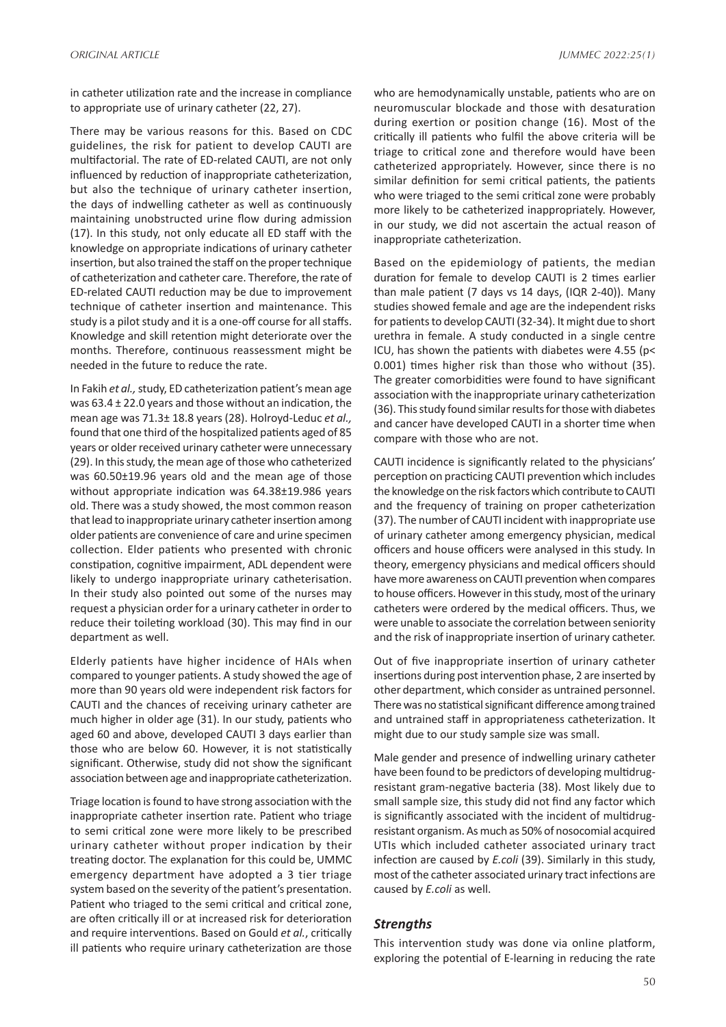in catheter utilization rate and the increase in compliance to appropriate use of urinary catheter (22, 27).

There may be various reasons for this. Based on CDC guidelines, the risk for patient to develop CAUTI are multifactorial. The rate of ED-related CAUTI, are not only influenced by reduction of inappropriate catheterization, but also the technique of urinary catheter insertion, the days of indwelling catheter as well as continuously maintaining unobstructed urine flow during admission (17). In this study, not only educate all ED staff with the knowledge on appropriate indications of urinary catheter insertion, but also trained the staff on the proper technique of catheterization and catheter care. Therefore, the rate of ED-related CAUTI reduction may be due to improvement technique of catheter insertion and maintenance. This study is a pilot study and it is a one-off course for all staffs. Knowledge and skill retention might deteriorate over the months. Therefore, continuous reassessment might be needed in the future to reduce the rate.

In Fakih *et al.,* study, ED catheterization patient's mean age was  $63.4 \pm 22.0$  years and those without an indication, the mean age was 71.3± 18.8 years (28). Holroyd-Leduc *et al.,* found that one third of the hospitalized patients aged of 85 years or older received urinary catheter were unnecessary (29). In this study, the mean age of those who catheterized was 60.50±19.96 years old and the mean age of those without appropriate indication was 64.38±19.986 years old. There was a study showed, the most common reason that lead to inappropriate urinary catheter insertion among older patients are convenience of care and urine specimen collection. Elder patients who presented with chronic constipation, cognitive impairment, ADL dependent were likely to undergo inappropriate urinary catheterisation. In their study also pointed out some of the nurses may request a physician order for a urinary catheter in order to reduce their toileting workload (30). This may find in our department as well.

Elderly patients have higher incidence of HAIs when compared to younger patients. A study showed the age of more than 90 years old were independent risk factors for CAUTI and the chances of receiving urinary catheter are much higher in older age (31). In our study, patients who aged 60 and above, developed CAUTI 3 days earlier than those who are below 60. However, it is not statistically significant. Otherwise, study did not show the significant association between age and inappropriate catheterization.

Triage location is found to have strong association with the inappropriate catheter insertion rate. Patient who triage to semi critical zone were more likely to be prescribed urinary catheter without proper indication by their treating doctor. The explanation for this could be, UMMC emergency department have adopted a 3 tier triage system based on the severity of the patient's presentation. Patient who triaged to the semi critical and critical zone, are often critically ill or at increased risk for deterioration and require interventions. Based on Gould *et al.*, critically ill patients who require urinary catheterization are those who are hemodynamically unstable, patients who are on neuromuscular blockade and those with desaturation during exertion or position change (16). Most of the critically ill patients who fulfil the above criteria will be triage to critical zone and therefore would have been catheterized appropriately. However, since there is no similar definition for semi critical patients, the patients who were triaged to the semi critical zone were probably more likely to be catheterized inappropriately. However, in our study, we did not ascertain the actual reason of inappropriate catheterization.

Based on the epidemiology of patients, the median duration for female to develop CAUTI is 2 times earlier than male patient (7 days vs 14 days, (IQR 2-40)). Many studies showed female and age are the independent risks for patients to develop CAUTI (32-34). It might due to short urethra in female. A study conducted in a single centre ICU, has shown the patients with diabetes were 4.55 (p< 0.001) times higher risk than those who without (35). The greater comorbidities were found to have significant association with the inappropriate urinary catheterization (36). This study found similar results for those with diabetes and cancer have developed CAUTI in a shorter time when compare with those who are not.

CAUTI incidence is significantly related to the physicians' perception on practicing CAUTI prevention which includes the knowledge on the risk factors which contribute to CAUTI and the frequency of training on proper catheterization (37). The number of CAUTI incident with inappropriate use of urinary catheter among emergency physician, medical officers and house officers were analysed in this study. In theory, emergency physicians and medical officers should have more awareness on CAUTI prevention when compares to house officers. However in this study, most of the urinary catheters were ordered by the medical officers. Thus, we were unable to associate the correlation between seniority and the risk of inappropriate insertion of urinary catheter.

Out of five inappropriate insertion of urinary catheter insertions during post intervention phase, 2 are inserted by other department, which consider as untrained personnel. There was no statistical significant difference among trained and untrained staff in appropriateness catheterization. It might due to our study sample size was small.

Male gender and presence of indwelling urinary catheter have been found to be predictors of developing multidrugresistant gram-negative bacteria (38). Most likely due to small sample size, this study did not find any factor which is significantly associated with the incident of multidrugresistant organism. As much as 50% of nosocomial acquired UTIs which included catheter associated urinary tract infection are caused by *E.coli* (39). Similarly in this study, most of the catheter associated urinary tract infections are caused by *E.coli* as well.

## *Strengths*

This intervention study was done via online platform, exploring the potential of E-learning in reducing the rate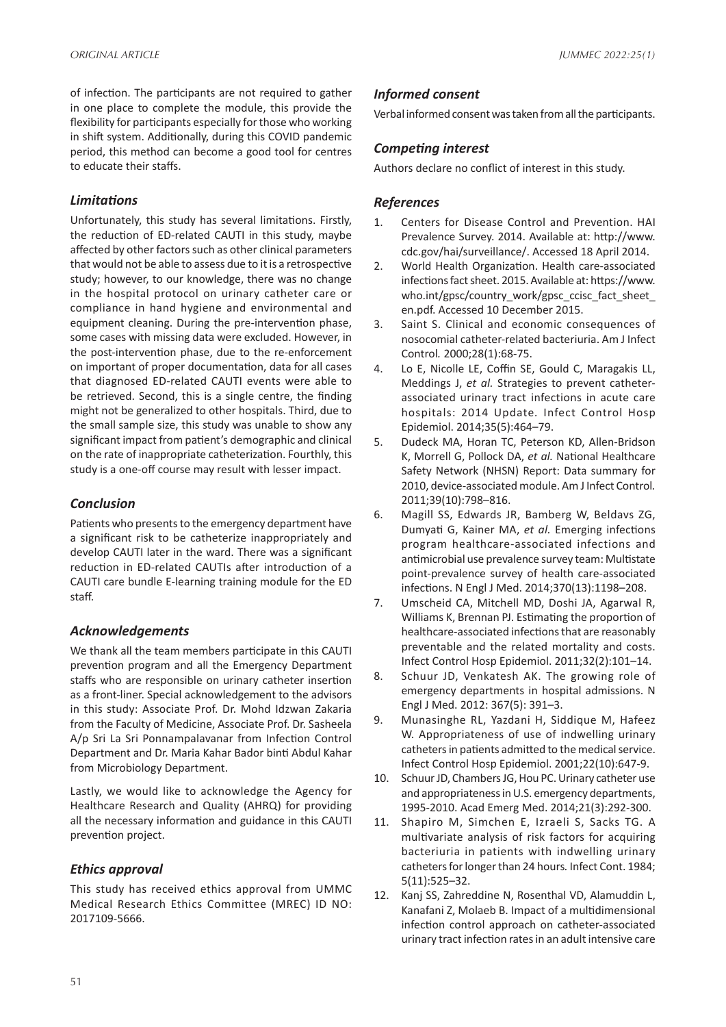of infection. The participants are not required to gather in one place to complete the module, this provide the flexibility for participants especially for those who working in shift system. Additionally, during this COVID pandemic period, this method can become a good tool for centres to educate their staffs.

## *Limitations*

Unfortunately, this study has several limitations. Firstly, the reduction of ED-related CAUTI in this study, maybe affected by other factors such as other clinical parameters that would not be able to assess due to it is a retrospective study; however, to our knowledge, there was no change in the hospital protocol on urinary catheter care or compliance in hand hygiene and environmental and equipment cleaning. During the pre-intervention phase, some cases with missing data were excluded. However, in the post-intervention phase, due to the re-enforcement on important of proper documentation, data for all cases that diagnosed ED-related CAUTI events were able to be retrieved. Second, this is a single centre, the finding might not be generalized to other hospitals. Third, due to the small sample size, this study was unable to show any significant impact from patient's demographic and clinical on the rate of inappropriate catheterization. Fourthly, this study is a one-off course may result with lesser impact.

## *Conclusion*

Patients who presents to the emergency department have a significant risk to be catheterize inappropriately and develop CAUTI later in the ward. There was a significant reduction in ED-related CAUTIs after introduction of a CAUTI care bundle E-learning training module for the ED staff.

## *Acknowledgements*

We thank all the team members participate in this CAUTI prevention program and all the Emergency Department staffs who are responsible on urinary catheter insertion as a front-liner. Special acknowledgement to the advisors in this study: Associate Prof. Dr. Mohd Idzwan Zakaria from the Faculty of Medicine, Associate Prof. Dr. Sasheela A/p Sri La Sri Ponnampalavanar from Infection Control Department and Dr. Maria Kahar Bador binti Abdul Kahar from Microbiology Department.

Lastly, we would like to acknowledge the Agency for Healthcare Research and Quality (AHRQ) for providing all the necessary information and guidance in this CAUTI prevention project.

## *Ethics approval*

This study has received ethics approval from UMMC Medical Research Ethics Committee (MREC) ID NO: 2017109-5666.

## *Informed consent*

Verbal informed consent was taken from all the participants.

## *Competing interest*

Authors declare no conflict of interest in this study.

## *References*

- 1. Centers for Disease Control and Prevention. HAI Prevalence Survey. 2014. Available at: http://www. cdc.gov/hai/surveillance/. Accessed 18 April 2014.
- 2. World Health Organization. Health care-associated infections fact sheet. 2015. Available at: https://www. who.int/gpsc/country\_work/gpsc\_ccisc\_fact\_sheet en.pdf. Accessed 10 December 2015.
- 3. Saint S. Clinical and economic consequences of nosocomial catheter-related bacteriuria. Am J Infect Control*.* 2000;28(1):68-75.
- 4. Lo E, Nicolle LE, Coffin SE, Gould C, Maragakis LL, Meddings J, *et al.* Strategies to prevent catheterassociated urinary tract infections in acute care hospitals: 2014 Update*.* Infect Control Hosp Epidemiol. 2014;35(5):464–79.
- 5. Dudeck MA, Horan TC, Peterson KD, Allen-Bridson K, Morrell G, Pollock DA, *et al.* National Healthcare Safety Network (NHSN) Report: Data summary for 2010, device-associated module. Am J Infect Control*.*  2011;39(10):798–816.
- 6. Magill SS, Edwards JR, Bamberg W, Beldavs ZG, Dumyati G, Kainer MA, *et al.* Emerging infections program healthcare-associated infections and antimicrobial use prevalence survey team: Multistate point-prevalence survey of health care-associated infections. N Engl J Med. 2014;370(13):1198–208.
- 7. Umscheid CA, Mitchell MD, Doshi JA, Agarwal R, Williams K, Brennan PJ. Estimating the proportion of healthcare-associated infections that are reasonably preventable and the related mortality and costs. Infect Control Hosp Epidemiol. 2011;32(2):101–14.
- 8. Schuur JD, Venkatesh AK. The growing role of emergency departments in hospital admissions. N Engl J Med. 2012: 367(5): 391–3.
- 9. Munasinghe RL, Yazdani H, Siddique M, Hafeez W. Appropriateness of use of indwelling urinary catheters in patients admitted to the medical service. Infect Control Hosp Epidemiol. 2001;22(10):647-9.
- 10. Schuur JD, Chambers JG, Hou PC. Urinary catheter use and appropriateness in U.S. emergency departments, 1995-2010. Acad Emerg Med. 2014;21(3):292-300.
- 11. Shapiro M, Simchen E, Izraeli S, Sacks TG. A multivariate analysis of risk factors for acquiring bacteriuria in patients with indwelling urinary catheters for longer than 24 hours*.* Infect Cont. 1984; 5(11):525–32.
- 12. Kanj SS, Zahreddine N, Rosenthal VD, Alamuddin L, Kanafani Z, Molaeb B. Impact of a multidimensional infection control approach on catheter-associated urinary tract infection rates in an adult intensive care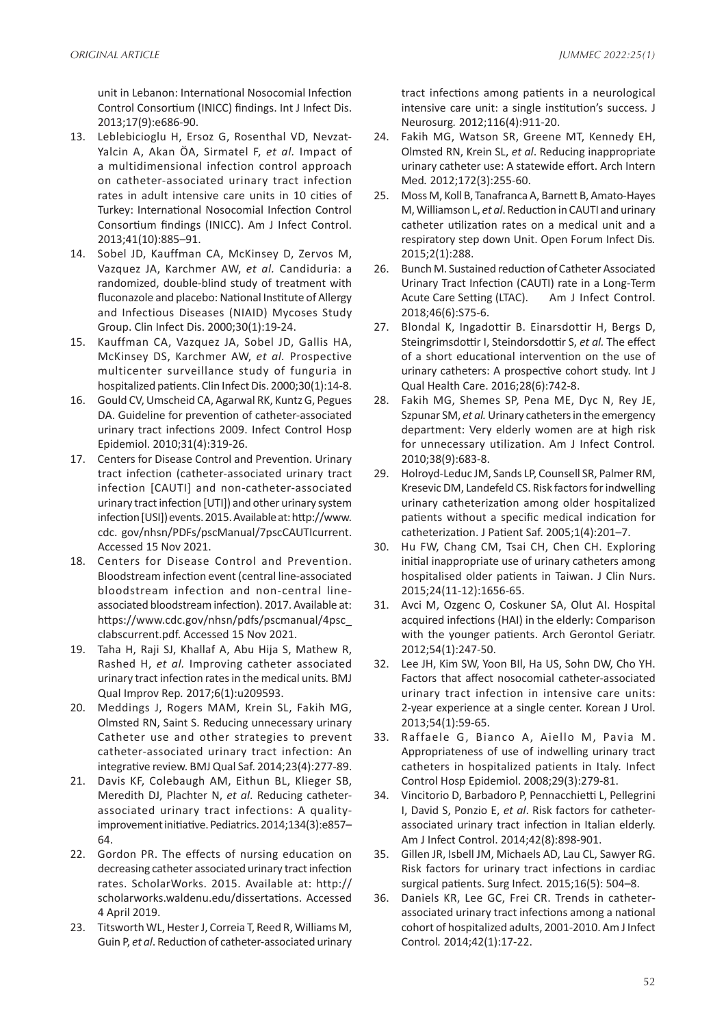unit in Lebanon: International Nosocomial Infection Control Consortium (INICC) findings. Int J Infect Dis. 2013;17(9):e686-90.

- 13. Leblebicioglu H, Ersoz G, Rosenthal VD, Nevzat-Yalcin A, Akan ÖA, Sirmatel F, *et al.* Impact of a multidimensional infection control approach on catheter-associated urinary tract infection rates in adult intensive care units in 10 cities of Turkey: International Nosocomial Infection Control Consortium findings (INICC). Am J Infect Control. 2013;41(10):885–91.
- 14. Sobel JD, Kauffman CA, McKinsey D, Zervos M, Vazquez JA, Karchmer AW, *et al.* Candiduria: a randomized, double-blind study of treatment with fluconazole and placebo: National Institute of Allergy and Infectious Diseases (NIAID) Mycoses Study Group. Clin Infect Dis. 2000;30(1):19-24.
- 15. Kauffman CA, Vazquez JA, Sobel JD, Gallis HA, McKinsey DS, Karchmer AW, *et al.* Prospective multicenter surveillance study of funguria in hospitalized patients. Clin Infect Dis. 2000;30(1):14-8.
- 16. Gould CV, Umscheid CA, Agarwal RK, Kuntz G, Pegues DA. Guideline for prevention of catheter‐associated urinary tract infections 2009. Infect Control Hosp Epidemiol. 2010;31(4):319-26.
- 17. Centers for Disease Control and Prevention. Urinary tract infection (catheter-associated urinary tract infection [CAUTI] and non-catheter-associated urinary tract infection [UTI]) and other urinary system infection [USI]) events. 2015. Available at: http://www. cdc. gov/nhsn/PDFs/pscManual/7pscCAUTIcurrent. Accessed 15 Nov 2021.
- 18. Centers for Disease Control and Prevention. Bloodstream infection event (central line-associated bloodstream infection and non-central lineassociated bloodstream infection). 2017. Available at: https://www.cdc.gov/nhsn/pdfs/pscmanual/4psc\_ clabscurrent.pdf. Accessed 15 Nov 2021.
- 19. Taha H, Raji SJ, Khallaf A, Abu Hija S, Mathew R, Rashed H, *et al.* Improving catheter associated urinary tract infection rates in the medical units*.* BMJ Qual Improv Rep*.* 2017;6(1):u209593.
- 20. Meddings J, Rogers MAM, Krein SL, Fakih MG, Olmsted RN, Saint S. Reducing unnecessary urinary Catheter use and other strategies to prevent catheter-associated urinary tract infection: An integrative review. BMJ Qual Saf. 2014;23(4):277-89.
- 21. Davis KF, Colebaugh AM, Eithun BL, Klieger SB, Meredith DJ, Plachter N, *et al*. Reducing catheterassociated urinary tract infections: A qualityimprovement initiative. Pediatrics. 2014;134(3):e857– 64.
- 22. Gordon PR. The effects of nursing education on decreasing catheter associated urinary tract infection rates. ScholarWorks. 2015. Available at: http:// scholarworks.waldenu.edu/dissertations. Accessed 4 April 2019.
- 23. Titsworth WL, Hester J, Correia T, Reed R, Williams M, Guin P, *et al*. Reduction of catheter-associated urinary

tract infections among patients in a neurological intensive care unit: a single institution's success. J Neurosurg*.* 2012;116(4):911-20.

- 24. Fakih MG, Watson SR, Greene MT, Kennedy EH, Olmsted RN, Krein SL, *et al*. Reducing inappropriate urinary catheter use: A statewide effort. Arch Intern Med*.* 2012;172(3):255-60.
- 25. Moss M, Koll B, Tanafranca A, Barnett B, Amato-Hayes M, Williamson L, *et al*. Reduction in CAUTI and urinary catheter utilization rates on a medical unit and a respiratory step down Unit. Open Forum Infect Dis*.* 2015;2(1):288.
- 26. Bunch M. Sustained reduction of Catheter Associated Urinary Tract Infection (CAUTI) rate in a Long-Term Acute Care Setting (LTAC). Am J Infect Control. 2018;46(6):S75-6.
- 27. Blondal K, Ingadottir B. Einarsdottir H, Bergs D, Steingrimsdottir I, Steindorsdottir S, *et al.* The effect of a short educational intervention on the use of urinary catheters: A prospective cohort study. Int J Qual Health Care. 2016;28(6):742-8.
- 28. Fakih MG, Shemes SP, Pena ME, Dyc N, Rey JE, Szpunar SM, *et al.* Urinary catheters in the emergency department: Very elderly women are at high risk for unnecessary utilization. Am J Infect Control*.* 2010;38(9):683-8.
- 29. Holroyd-Leduc JM, Sands LP, Counsell SR, Palmer RM, Kresevic DM, Landefeld CS. Risk factors for indwelling urinary catheterization among older hospitalized patients without a specific medical indication for catheterization. J Patient Saf. 2005;1(4):201–7.
- 30. Hu FW, Chang CM, Tsai CH, Chen CH. Exploring initial inappropriate use of urinary catheters among hospitalised older patients in Taiwan. J Clin Nurs. 2015;24(11-12):1656-65.
- 31. Avci M, Ozgenc O, Coskuner SA, Olut AI. Hospital acquired infections (HAI) in the elderly: Comparison with the younger patients. Arch Gerontol Geriatr. 2012;54(1):247-50.
- 32. Lee JH, Kim SW, Yoon BIl, Ha US, Sohn DW, Cho YH. Factors that affect nosocomial catheter-associated urinary tract infection in intensive care units: 2-year experience at a single center. Korean J Urol. 2013;54(1):59-65.
- 33. Raffaele G, Bianco A, Aiello M, Pavia M. Appropriateness of use of indwelling urinary tract catheters in hospitalized patients in Italy. Infect Control Hosp Epidemiol. 2008;29(3):279-81.
- 34. Vincitorio D, Barbadoro P, Pennacchietti L, Pellegrini I, David S, Ponzio E, *et al*. Risk factors for catheterassociated urinary tract infection in Italian elderly. Am J Infect Control. 2014;42(8):898-901.
- 35. Gillen JR, Isbell JM, Michaels AD, Lau CL, Sawyer RG. Risk factors for urinary tract infections in cardiac surgical patients. Surg Infect*.* 2015;16(5): 504–8.
- 36. Daniels KR, Lee GC, Frei CR. Trends in catheterassociated urinary tract infections among a national cohort of hospitalized adults, 2001-2010. Am J Infect Control*.* 2014;42(1):17-22.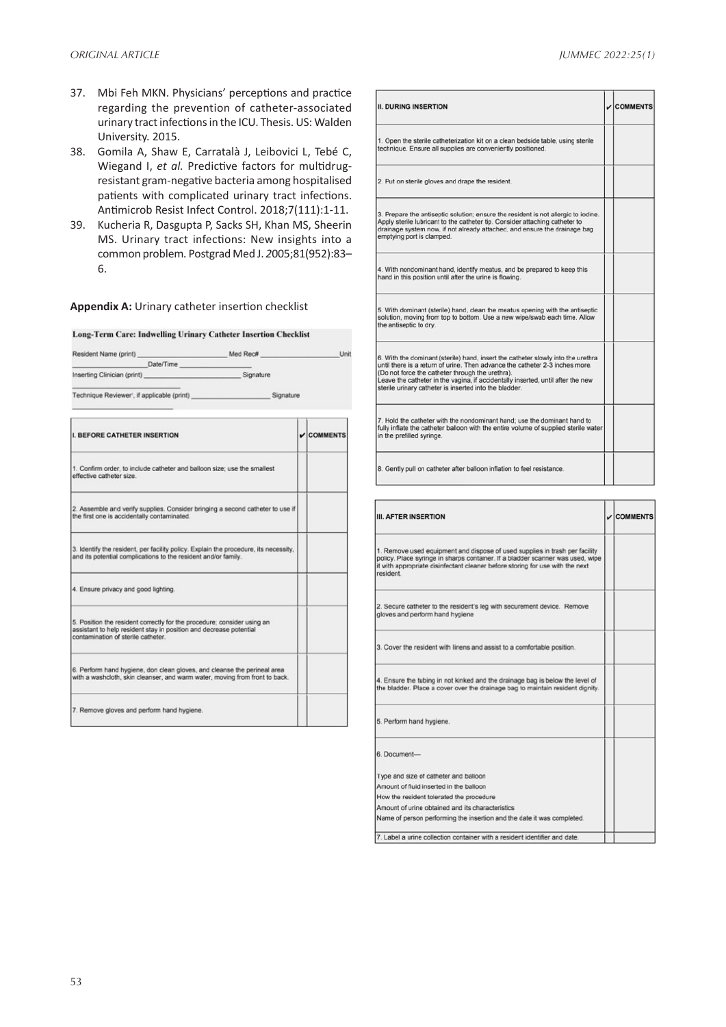- 37. Mbi Feh MKN. Physicians' perceptions and practice regarding the prevention of catheter-associated urinary tract infections in the ICU. Thesis. US: Walden University. 2015.
- 38. Gomila A, Shaw E, Carratalà J, Leibovici L, Tebé C, Wiegand I, *et al.* Predictive factors for multidrugresistant gram-negative bacteria among hospitalised patients with complicated urinary tract infections. Antimicrob Resist Infect Control. 2018;7(111):1-11.
- 39. Kucheria R, Dasgupta P, Sacks SH, Khan MS, Sheerin MS. Urinary tract infections: New insights into a common problem*.* Postgrad Med J. *2*005;81(952):83– 6.

#### **Appendix A:** Urinary catheter insertion checklist

#### Long-Term Care: Indwelling Urinary Catheter Insertion Checklist

| Resident Name (print) Med Rec#                                                                                                                                                      |  | Unit                     |
|-------------------------------------------------------------------------------------------------------------------------------------------------------------------------------------|--|--------------------------|
| Date/Time                                                                                                                                                                           |  |                          |
| Inserting Clinician (print) Signature                                                                                                                                               |  |                          |
|                                                                                                                                                                                     |  |                          |
| <b>I. BEFORE CATHETER INSERTION</b>                                                                                                                                                 |  | $\sqrt{\text{COMMENTS}}$ |
| 1. Confirm order, to include catheter and balloon size; use the smallest<br>effective catheter size.                                                                                |  |                          |
| 2. Assemble and verify supplies. Consider bringing a second catheter to use if<br>the first one is accidentally contaminated.                                                       |  |                          |
| 3. Identify the resident, per facility policy. Explain the procedure, its necessity,<br>and its potential complications to the resident and/or family.                              |  |                          |
| 4. Ensure privacy and good lighting.                                                                                                                                                |  |                          |
| 5. Position the resident correctly for the procedure; consider using an<br>assistant to help resident stay in position and decrease potential<br>contamination of sterile catheter. |  |                          |
| 6. Perform hand hygiene, don clean gloves, and cleanse the perineal area<br>with a washcloth, skin cleanser, and warm water, moving from front to back.                             |  |                          |
| 7. Remove gloves and perform hand hygiene.                                                                                                                                          |  |                          |

| <b>II. DURING INSERTION</b>                                                                                                                                                                                                                                                                                                                                       | $\sqrt{\text{COMMENTS}}$ |
|-------------------------------------------------------------------------------------------------------------------------------------------------------------------------------------------------------------------------------------------------------------------------------------------------------------------------------------------------------------------|--------------------------|
| 1. Open the sterile catheterization kit on a clean bedside table, using sterile<br>technique. Ensure all supplies are conveniently positioned.                                                                                                                                                                                                                    |                          |
| 2. Put on sterile gloves and drape the resident.                                                                                                                                                                                                                                                                                                                  |                          |
| 3. Prepare the antiseptic solution; ensure the resident is not allergic to iodine.<br>Apply sterile lubricant to the catheter tip. Consider attaching catheter to<br>drainage system now, if not already attached, and ensure the drainage bag<br>emptying port is clamped.                                                                                       |                          |
| 4. With nondominant hand, identify meatus, and be prepared to keep this<br>hand in this position until after the urine is flowing.                                                                                                                                                                                                                                |                          |
| 5. With dominant (sterile) hand, clean the meatus opening with the antiseptic<br>solution, moving from top to bottom. Use a new wipe/swab each time. Allow<br>the antiseptic to dry.                                                                                                                                                                              |                          |
| 6. With the dominant (sterile) hand, insert the catheter slowly into the urethra<br>until there is a return of urine. Then advance the catheter 2-3 inches more.<br>(Do not force the catheter through the urethra).<br>Leave the catheter in the vagina, if accidentally inserted, until after the new<br>sterile urinary catheter is inserted into the bladder. |                          |
| 7. Hold the catheter with the nondominant hand; use the dominant hand to<br>fully inflate the catheter balloon with the entire volume of supplied sterile water<br>in the prefilled syringe.                                                                                                                                                                      |                          |
| 8. Gently pull on catheter after balloon inflation to feel resistance.                                                                                                                                                                                                                                                                                            |                          |

| <b>III. AFTER INSERTION</b>                                                                                                                                                                                                                                 | $\sqrt{\text{COMMENTS}}$ |
|-------------------------------------------------------------------------------------------------------------------------------------------------------------------------------------------------------------------------------------------------------------|--------------------------|
| 1. Remove used equipment and dispose of used supplies in trash per facility<br>policy. Place syringe in sharps container. If a bladder scanner was used, wipe<br>it with appropriate disinfectant cleaner before storing for use with the next<br>resident. |                          |
| 2. Secure catheter to the resident's leg with securement device. Remove<br>gloves and perform hand hygiene                                                                                                                                                  |                          |
| 3. Cover the resident with linens and assist to a comfortable position.                                                                                                                                                                                     |                          |
| 4. Ensure the tubing in not kinked and the drainage bag is below the level of<br>the bladder. Place a cover over the drainage bag to maintain resident dignity.                                                                                             |                          |
| 5. Perform hand hygiene.                                                                                                                                                                                                                                    |                          |
| 6. Document-                                                                                                                                                                                                                                                |                          |
| Type and size of catheter and balloon                                                                                                                                                                                                                       |                          |
| Amount of fluid inserted in the balloon                                                                                                                                                                                                                     |                          |
| How the resident tolerated the procedure                                                                                                                                                                                                                    |                          |
| Amount of urine obtained and its characteristics                                                                                                                                                                                                            |                          |
| Name of person performing the insertion and the date it was completed.                                                                                                                                                                                      |                          |
| 7. Label a urine collection container with a resident identifier and date.                                                                                                                                                                                  |                          |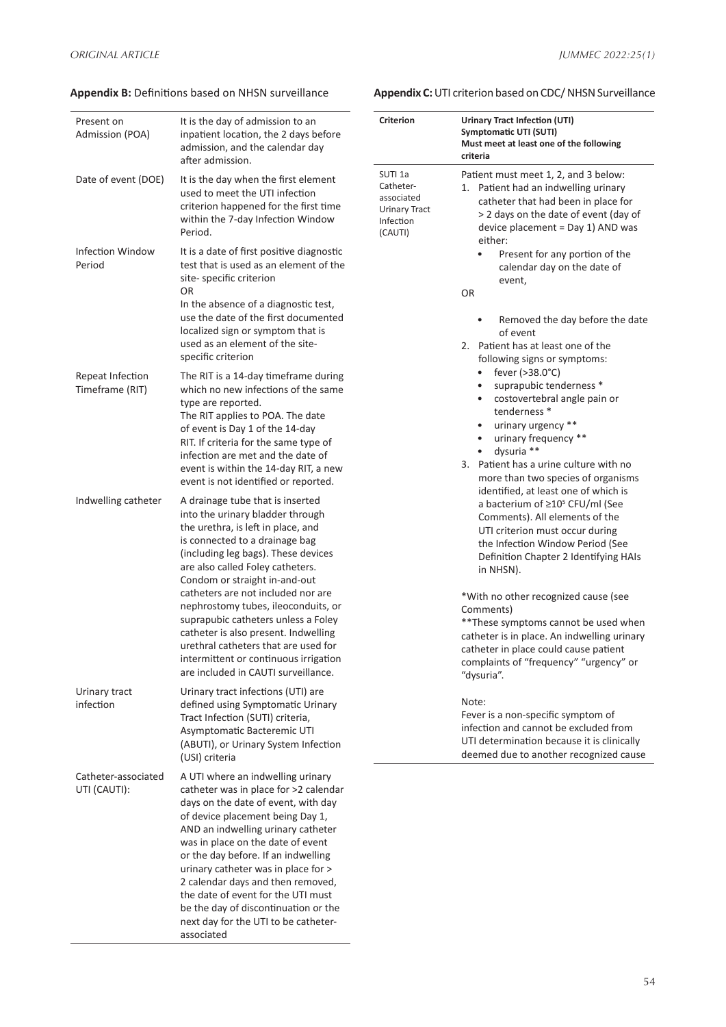**Appendix B:** Definitions based on NHSN surveillance

| Present on<br>Admission (POA)       | It is the day of admission to an<br>inpatient location, the 2 days before<br>admission, and the calendar day<br>after admission.                                                                                                                                                                                                                                                                                                                                                                                                             | <b>Criterion</b>                                                                              | Urinary Tract Infection (UTI)<br>Symptomatic UTI (SUTI)<br>Must meet at least one of the following<br>criteria                                                                                                                                                                                                                                                                                                                                                                              |
|-------------------------------------|----------------------------------------------------------------------------------------------------------------------------------------------------------------------------------------------------------------------------------------------------------------------------------------------------------------------------------------------------------------------------------------------------------------------------------------------------------------------------------------------------------------------------------------------|-----------------------------------------------------------------------------------------------|---------------------------------------------------------------------------------------------------------------------------------------------------------------------------------------------------------------------------------------------------------------------------------------------------------------------------------------------------------------------------------------------------------------------------------------------------------------------------------------------|
| Date of event (DOE)                 | It is the day when the first element<br>used to meet the UTI infection<br>criterion happened for the first time<br>within the 7-day Infection Window<br>Period.                                                                                                                                                                                                                                                                                                                                                                              | SUTI <sub>1a</sub><br>Catheter-<br>associated<br><b>Urinary Tract</b><br>Infection<br>(CAUTI) | Patient must meet 1, 2, and 3 below:<br>1. Patient had an indwelling urinary<br>catheter that had been in place for<br>> 2 days on the date of event (day of<br>device placement = Day 1) AND was<br>either:                                                                                                                                                                                                                                                                                |
| Infection Window<br>Period          | It is a date of first positive diagnostic<br>test that is used as an element of the<br>site-specific criterion<br>0R<br>In the absence of a diagnostic test,<br>use the date of the first documented<br>localized sign or symptom that is<br>used as an element of the site-<br>specific criterion                                                                                                                                                                                                                                           |                                                                                               | Present for any portion of the<br>٠<br>calendar day on the date of<br>event,<br>OR<br>Removed the day before the date<br>$\bullet$<br>of event<br>2. Patient has at least one of the<br>following signs or symptoms:                                                                                                                                                                                                                                                                        |
| Repeat Infection<br>Timeframe (RIT) | The RIT is a 14-day timeframe during<br>which no new infections of the same<br>type are reported.<br>The RIT applies to POA. The date<br>of event is Day 1 of the 14-day<br>RIT. If criteria for the same type of<br>infection are met and the date of<br>event is within the 14-day RIT, a new<br>event is not identified or reported.                                                                                                                                                                                                      |                                                                                               | fever $(>38.0^{\circ}C)$<br>$\bullet$<br>suprapubic tenderness *<br>costovertebral angle pain or<br>$\bullet$<br>tenderness *<br>urinary urgency **<br>$\bullet$<br>urinary frequency **<br>$\bullet$<br>dysuria **<br>$\bullet$<br>3. Patient has a urine culture with no<br>more than two species of organisms                                                                                                                                                                            |
| Indwelling catheter                 | A drainage tube that is inserted<br>into the urinary bladder through<br>the urethra, is left in place, and<br>is connected to a drainage bag<br>(including leg bags). These devices<br>are also called Foley catheters.<br>Condom or straight in-and-out<br>catheters are not included nor are<br>nephrostomy tubes, ileoconduits, or<br>suprapubic catheters unless a Foley<br>catheter is also present. Indwelling<br>urethral catheters that are used for<br>intermittent or continuous irrigation<br>are included in CAUTI surveillance. |                                                                                               | identified, at least one of which is<br>a bacterium of $\geq 10^5$ CFU/ml (See<br>Comments). All elements of the<br>UTI criterion must occur during<br>the Infection Window Period (See<br>Definition Chapter 2 Identifying HAIs<br>in NHSN).<br>*With no other recognized cause (see<br>Comments)<br>** These symptoms cannot be used when<br>catheter is in place. An indwelling urinary<br>catheter in place could cause patient<br>complaints of "frequency" "urgency" or<br>"dysuria". |
| Urinary tract<br>infection          | Urinary tract infections (UTI) are<br>defined using Symptomatic Urinary<br>Tract Infection (SUTI) criteria,<br>Asymptomatic Bacteremic UTI<br>(ABUTI), or Urinary System Infection<br>(USI) criteria                                                                                                                                                                                                                                                                                                                                         |                                                                                               | Note:<br>Fever is a non-specific symptom of<br>infection and cannot be excluded from<br>UTI determination because it is clinically<br>deemed due to another recognized cause                                                                                                                                                                                                                                                                                                                |
| Catheter-associated<br>UTI (CAUTI): | A UTI where an indwelling urinary<br>catheter was in place for >2 calendar<br>days on the date of event, with day<br>of device placement being Day 1,<br>AND an indwelling urinary catheter<br>was in place on the date of event<br>or the day before. If an indwelling<br>urinary catheter was in place for ><br>2 calendar days and then removed,<br>the date of event for the UTI must<br>be the day of discontinuation or the<br>next day for the UTI to be catheter-<br>associated                                                      |                                                                                               |                                                                                                                                                                                                                                                                                                                                                                                                                                                                                             |

## **Appendix C:** UTI criterion based on CDC/ NHSN Surveillance

| <b>Criterion</b>                                                                              | <b>Urinary Tract Infection (UTI)</b><br>Symptomatic UTI (SUTI)<br>Must meet at least one of the following<br>criteria                                                                                                                                                                                                                                                                                                                                                                                                                                                                                                                                                     |
|-----------------------------------------------------------------------------------------------|---------------------------------------------------------------------------------------------------------------------------------------------------------------------------------------------------------------------------------------------------------------------------------------------------------------------------------------------------------------------------------------------------------------------------------------------------------------------------------------------------------------------------------------------------------------------------------------------------------------------------------------------------------------------------|
| SUTI <sub>1a</sub><br>Catheter-<br>associated<br><b>Urinary Tract</b><br>Infection<br>(CAUTI) | Patient must meet 1, 2, and 3 below:<br>Patient had an indwelling urinary<br>1.<br>catheter that had been in place for<br>> 2 days on the date of event (day of<br>device placement = Day 1) AND was<br>either:<br>Present for any portion of the<br>$\bullet$<br>calendar day on the date of<br>event,                                                                                                                                                                                                                                                                                                                                                                   |
|                                                                                               | OR                                                                                                                                                                                                                                                                                                                                                                                                                                                                                                                                                                                                                                                                        |
|                                                                                               | Removed the day before the date<br>of event<br>Patient has at least one of the<br>2.<br>following signs or symptoms:<br>fever (>38.0°C)<br>$\bullet$<br>suprapubic tenderness *<br>costovertebral angle pain or<br>$\bullet$<br>tenderness <sup>*</sup><br>urinary urgency **<br>urinary frequency **<br>$\bullet$<br>dysuria **<br>Patient has a urine culture with no<br>3.<br>more than two species of organisms<br>identified, at least one of which is<br>a bacterium of ≥10 <sup>5</sup> CFU/ml (See<br>Comments). All elements of the<br>UTI criterion must occur during<br>the Infection Window Period (See<br>Definition Chapter 2 Identifying HAIs<br>in NHSN). |
|                                                                                               | *With no other recognized cause (see<br>Comments)<br>**These symptoms cannot be used when<br>catheter is in place. An indwelling urinary<br>catheter in place could cause patient<br>complaints of "frequency" "urgency" or<br>"dysuria".                                                                                                                                                                                                                                                                                                                                                                                                                                 |
|                                                                                               | Note:<br>Fever is a non-specific symptom of<br>infection and cannot be excluded from<br>UTI determination because it is clinically                                                                                                                                                                                                                                                                                                                                                                                                                                                                                                                                        |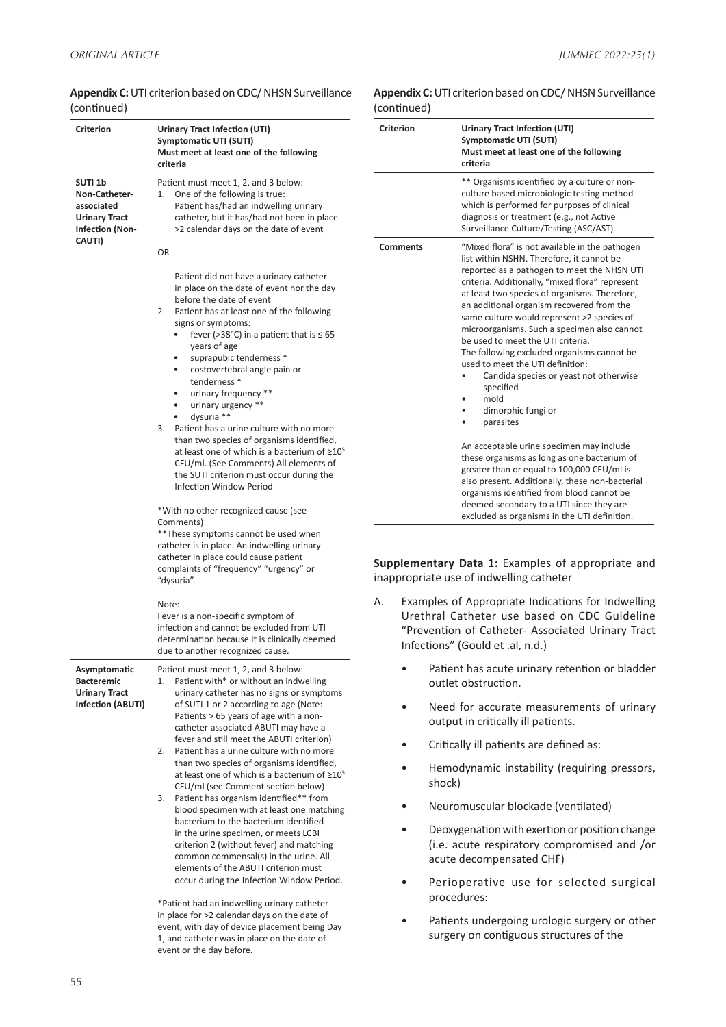| ,                                                                                                             |                                                                                                                                                                                                                                                                                                                                                                                                                                                                                                                                                                                                                                                                                                                                                                                                                                                                                                               | '~         |
|---------------------------------------------------------------------------------------------------------------|---------------------------------------------------------------------------------------------------------------------------------------------------------------------------------------------------------------------------------------------------------------------------------------------------------------------------------------------------------------------------------------------------------------------------------------------------------------------------------------------------------------------------------------------------------------------------------------------------------------------------------------------------------------------------------------------------------------------------------------------------------------------------------------------------------------------------------------------------------------------------------------------------------------|------------|
| <b>Criterion</b>                                                                                              | Urinary Tract Infection (UTI)<br>Symptomatic UTI (SUTI)<br>Must meet at least one of the following<br>criteria                                                                                                                                                                                                                                                                                                                                                                                                                                                                                                                                                                                                                                                                                                                                                                                                | Cri        |
| SUTI <sub>1b</sub><br>Non-Catheter-<br>associated<br><b>Urinary Tract</b><br><b>Infection (Non-</b><br>CAUTI) | Patient must meet 1, 2, and 3 below:<br>One of the following is true:<br>1.<br>Patient has/had an indwelling urinary<br>catheter, but it has/had not been in place<br>>2 calendar days on the date of event                                                                                                                                                                                                                                                                                                                                                                                                                                                                                                                                                                                                                                                                                                   |            |
|                                                                                                               | <b>OR</b>                                                                                                                                                                                                                                                                                                                                                                                                                                                                                                                                                                                                                                                                                                                                                                                                                                                                                                     | Co         |
|                                                                                                               | Patient did not have a urinary catheter<br>in place on the date of event nor the day<br>before the date of event<br>2.<br>Patient has at least one of the following<br>signs or symptoms:<br>fever (>38°C) in a patient that is $\leq 65$<br>years of age<br>suprapubic tenderness *<br>costovertebral angle pain or<br>٠<br>tenderness *<br>urinary frequency **<br>urinary urgency **<br>dysuria **<br>3.<br>Patient has a urine culture with no more<br>than two species of organisms identified,<br>at least one of which is a bacterium of $\geq 10^5$<br>CFU/ml. (See Comments) All elements of<br>the SUTI criterion must occur during the<br>Infection Window Period                                                                                                                                                                                                                                  |            |
|                                                                                                               | *With no other recognized cause (see<br>Comments)<br>**These symptoms cannot be used when<br>catheter is in place. An indwelling urinary<br>catheter in place could cause patient<br>complaints of "frequency" "urgency" or<br>"dysuria".                                                                                                                                                                                                                                                                                                                                                                                                                                                                                                                                                                                                                                                                     | Sur<br>ina |
|                                                                                                               | Note:<br>Fever is a non-specific symptom of<br>infection and cannot be excluded from UTI<br>determination because it is clinically deemed<br>due to another recognized cause.                                                                                                                                                                                                                                                                                                                                                                                                                                                                                                                                                                                                                                                                                                                                 | А.         |
| Asymptomatic<br><b>Bacteremic</b><br><b>Urinary Tract</b><br>Infection (ABUTI)                                | Patient must meet 1, 2, and 3 below:<br>Patient with* or without an indwelling<br>1.<br>urinary catheter has no signs or symptoms<br>of SUTI 1 or 2 according to age (Note:<br>Patients > 65 years of age with a non-<br>catheter-associated ABUTI may have a<br>fever and still meet the ABUTI criterion)<br>Patient has a urine culture with no more<br>2.<br>than two species of organisms identified,<br>at least one of which is a bacterium of $\geq 10^5$<br>CFU/ml (see Comment section below)<br>Patient has organism identified** from<br>3.<br>blood specimen with at least one matching<br>bacterium to the bacterium identified<br>in the urine specimen, or meets LCBI<br>criterion 2 (without fever) and matching<br>common commensal(s) in the urine. All<br>elements of the ABUTI criterion must<br>occur during the Infection Window Period.<br>*Patient had an indwelling urinary catheter |            |
|                                                                                                               | in place for >2 calendar days on the date of                                                                                                                                                                                                                                                                                                                                                                                                                                                                                                                                                                                                                                                                                                                                                                                                                                                                  |            |

#### **Appendix C:** UTI criterion based on CDC/ NHSN Surveillance (continued)

in place for >2 calendar days on the date of event, with day of device placement being Day 1, and catheter was in place on the date of event or the day before.

## **Appendix C:** UTI criterion based on CDC/ NHSN Surveillance (continued)

| <b>Criterion</b> | <b>Urinary Tract Infection (UTI)</b><br>Symptomatic UTI (SUTI)<br>Must meet at least one of the following<br>criteria                                                                                                                                                                                                                                                                                                                                                                                                                                                                                             |
|------------------|-------------------------------------------------------------------------------------------------------------------------------------------------------------------------------------------------------------------------------------------------------------------------------------------------------------------------------------------------------------------------------------------------------------------------------------------------------------------------------------------------------------------------------------------------------------------------------------------------------------------|
|                  | ** Organisms identified by a culture or non-<br>culture based microbiologic testing method<br>which is performed for purposes of clinical<br>diagnosis or treatment (e.g., not Active<br>Surveillance Culture/Testing (ASC/AST)                                                                                                                                                                                                                                                                                                                                                                                   |
| <b>Comments</b>  | "Mixed flora" is not available in the pathogen<br>list within NSHN. Therefore, it cannot be<br>reported as a pathogen to meet the NHSN UTI<br>criteria. Additionally, "mixed flora" represent<br>at least two species of organisms. Therefore,<br>an additional organism recovered from the<br>same culture would represent >2 species of<br>microorganisms. Such a specimen also cannot<br>be used to meet the UTI criteria.<br>The following excluded organisms cannot be<br>used to meet the UTI definition:<br>Candida species or yeast not otherwise<br>specified<br>mold<br>dimorphic fungi or<br>parasites |
|                  | An acceptable urine specimen may include<br>these organisms as long as one bacterium of<br>greater than or equal to 100,000 CFU/ml is<br>also present. Additionally, these non-bacterial<br>organisms identified from blood cannot be<br>deemed secondary to a UTI since they are<br>excluded as organisms in the UTI definition.                                                                                                                                                                                                                                                                                 |

**Supplementary Data 1:** Examples of appropriate and ppropriate use of indwelling catheter

- Examples of Appropriate Indications for Indwelling Urethral Catheter use based on CDC Guideline "Prevention of Catheter- Associated Urinary Tract Infections" (Gould et .al, n.d.)
	- Patient has acute urinary retention or bladder outlet obstruction.
	- Need for accurate measurements of urinary output in critically ill patients.
	- Critically ill patients are defined as:
	- Hemodynamic instability (requiring pressors, shock)
	- Neuromuscular blockade (ventilated)
	- Deoxygenation with exertion or position change (i.e. acute respiratory compromised and /or acute decompensated CHF)
	- Perioperative use for selected surgical procedures:
	- Patients undergoing urologic surgery or other surgery on contiguous structures of the